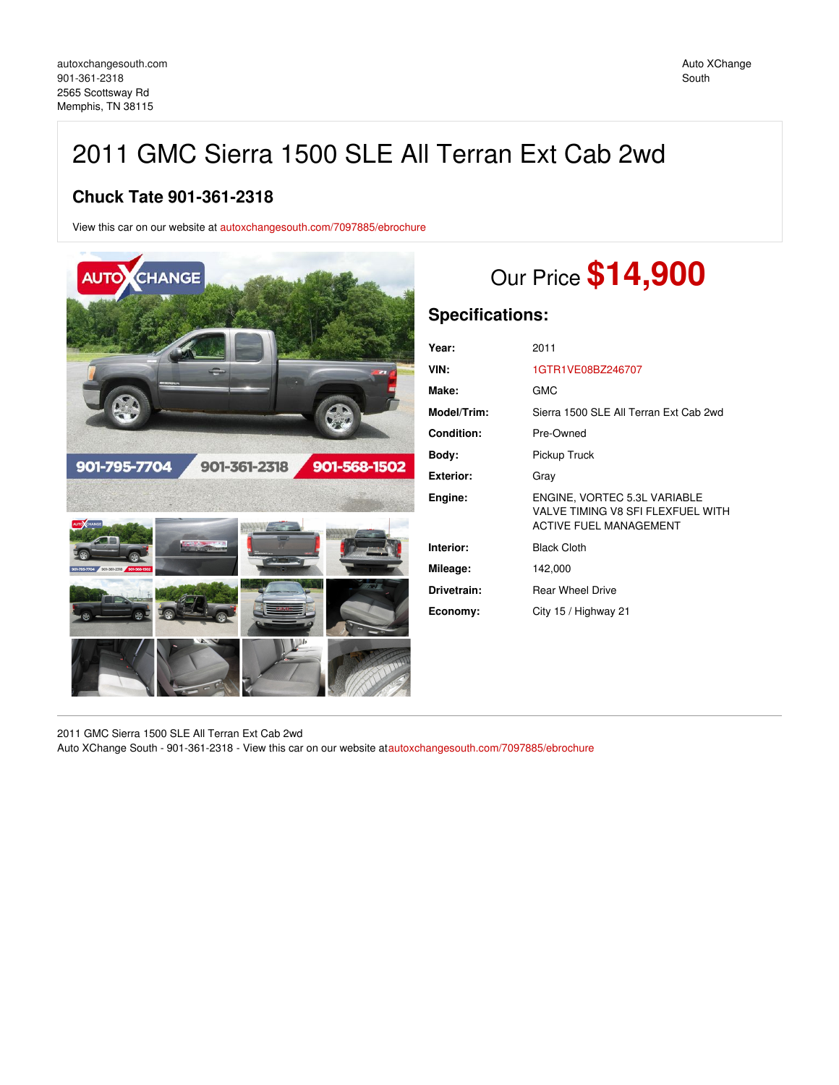# 2011 GMC Sierra 1500 SLE All Terran Ext Cab 2wd

## **Chuck Tate 901-361-2318**

View this car on our website at [autoxchangesouth.com/7097885/ebrochure](https://autoxchangesouth.com/vehicle/7097885/2011-gmc-sierra-1500-sle-all-terran-ext-cab-2wd-memphis-tn-38115/7097885/ebrochure)



# Our Price **\$14,900**

## **Specifications:**

| Year:       | 2011                                                                                               |
|-------------|----------------------------------------------------------------------------------------------------|
| VIN:        | 1GTR1VE08BZ246707                                                                                  |
| Make:       | <b>GMC</b>                                                                                         |
| Model/Trim: | Sierra 1500 SLE All Terran Ext Cab 2wd                                                             |
| Condition:  | Pre-Owned                                                                                          |
| Body:       | Pickup Truck                                                                                       |
| Exterior:   | Gray                                                                                               |
| Engine:     | ENGINE. VORTEC 5.3L VARIABLE<br>VALVE TIMING V8 SFI FLEXFUEL WITH<br><b>ACTIVE FUEL MANAGEMENT</b> |
| Interior:   | <b>Black Cloth</b>                                                                                 |
| Mileage:    | 142,000                                                                                            |
| Drivetrain: | <b>Rear Wheel Drive</b>                                                                            |
| Economy:    | City 15 / Highway 21                                                                               |
|             |                                                                                                    |

2011 GMC Sierra 1500 SLE All Terran Ext Cab 2wd Auto XChange South - 901-361-2318 - View this car on our website at[autoxchangesouth.com/7097885/ebrochure](https://autoxchangesouth.com/vehicle/7097885/2011-gmc-sierra-1500-sle-all-terran-ext-cab-2wd-memphis-tn-38115/7097885/ebrochure)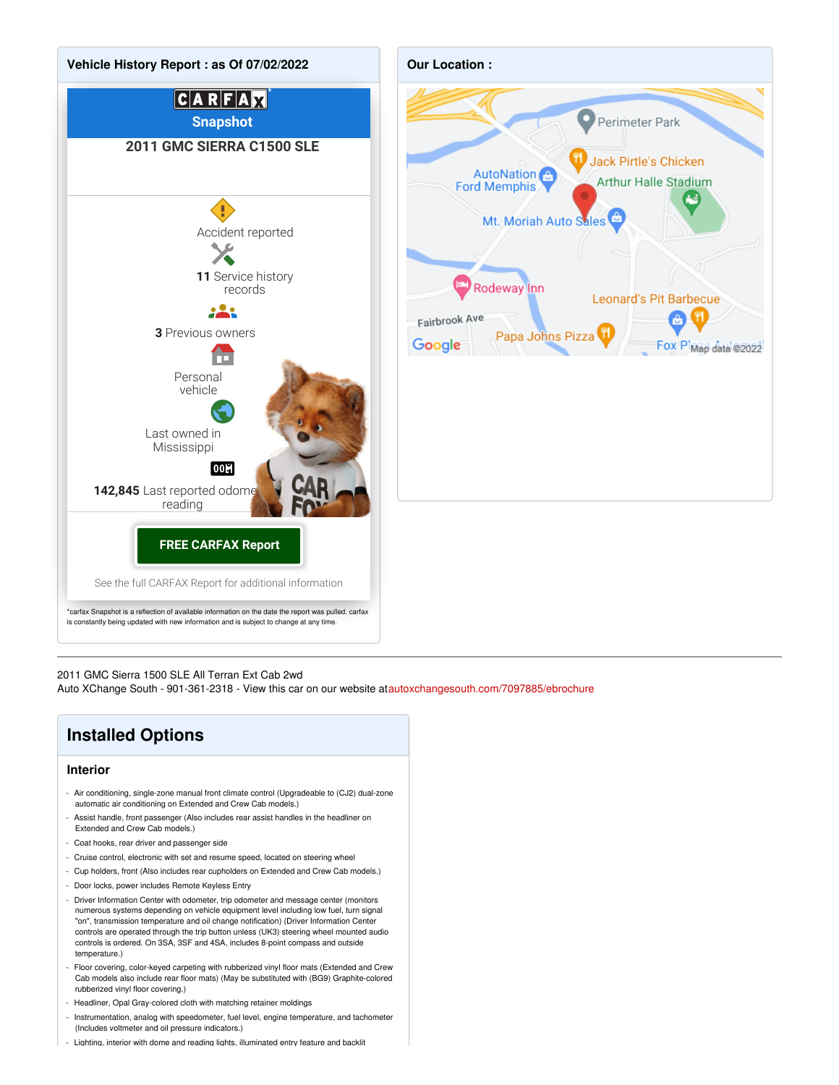



#### 2011 GMC Sierra 1500 SLE All Terran Ext Cab 2wd

Auto XChange South - 901-361-2318 - View this car on our website at[autoxchangesouth.com/7097885/ebrochure](https://autoxchangesouth.com/vehicle/7097885/2011-gmc-sierra-1500-sle-all-terran-ext-cab-2wd-memphis-tn-38115/7097885/ebrochure)



- Headliner, Opal Gray-colored cloth with matching retainer moldings
- Instrumentation, analog with speedometer, fuel level, engine temperature, and tachometer (Includes voltmeter and oil pressure indicators.)
- Lighting, interior with dome and reading lights, illuminated entry feature and backlit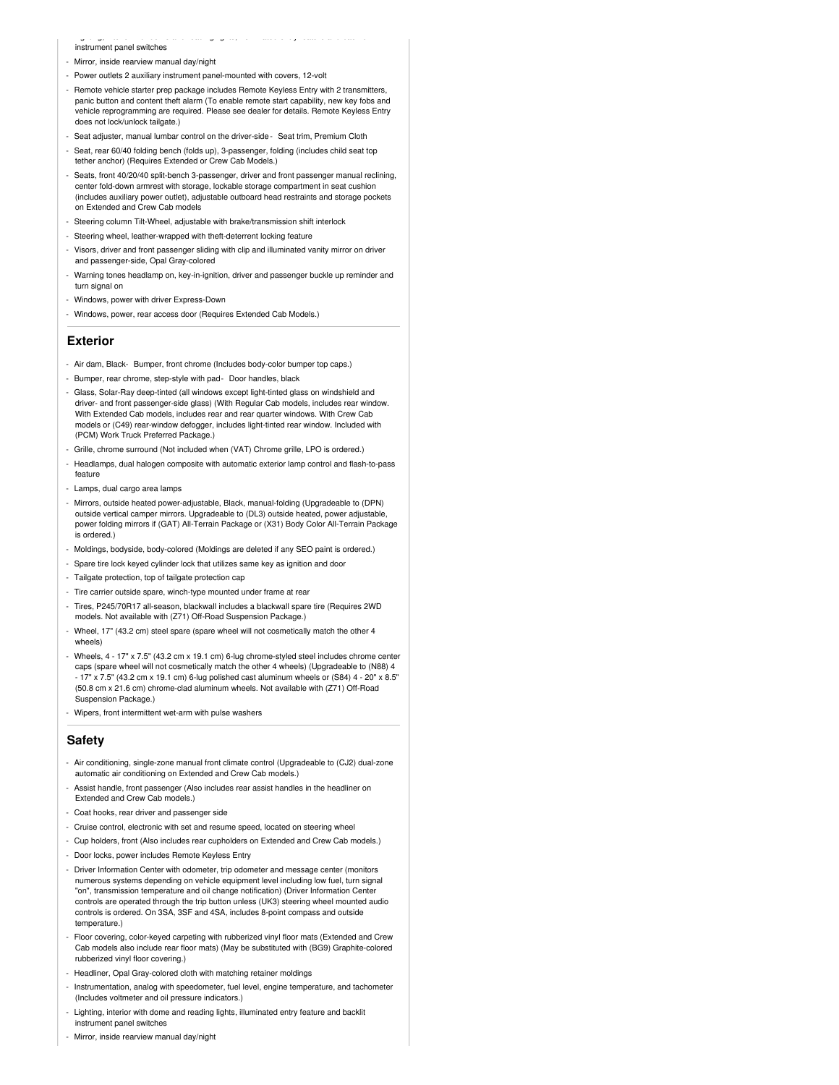instrument panel switches

- Mirror, inside rearview manual day/night
- Power outlets 2 auxiliary instrument panel-mounted with covers, 12-volt
- Remote vehicle starter prep package includes Remote Keyless Entry with 2 transmitters, panic button and content theft alarm (To enable remote start capability, new key fobs and vehicle reprogramming are required. Please see dealer for details. Remote Keyless Entry does not lock/unlock tailgate.)
- Seat adjuster, manual lumbar control on the driver-side Seat trim, Premium Cloth

- Lighting, interior with dome and reading lights, illuminated entry feature and backlit

- Seat, rear 60/40 folding bench (folds up), 3-passenger, folding (includes child seat top tether anchor) (Requires Extended or Crew Cab Models.)
- Seats, front 40/20/40 split-bench 3-passenger, driver and front passenger manual reclining, center fold-down armrest with storage, lockable storage compartment in seat cushion (includes auxiliary power outlet), adjustable outboard head restraints and storage pockets on Extended and Crew Cab models
- Steering column Tilt-Wheel, adjustable with brake/transmission shift interlock
- Steering wheel, leather-wrapped with theft-deterrent locking feature
- Visors, driver and front passenger sliding with clip and illuminated vanity mirror on driver and passenger-side, Opal Gray-colored
- Warning tones headlamp on, key-in-ignition, driver and passenger buckle up reminder and turn signal on
- Windows, power with driver Express-Down
- Windows, power, rear access door (Requires Extended Cab Models.)

#### **Exterior**

- Air dam, Black- Bumper, front chrome (Includes body-color bumper top caps.)
- Bumper, rear chrome, step-style with pad- Door handles, black
- Glass, Solar-Ray deep-tinted (all windows except light-tinted glass on windshield and driver- and front passenger-side glass) (With Regular Cab models, includes rear window. With Extended Cab models, includes rear and rear quarter windows. With Crew Cab models or (C49) rear-window defogger, includes light-tinted rear window. Included with (PCM) Work Truck Preferred Package.)
- Grille, chrome surround (Not included when (VAT) Chrome grille, LPO is ordered.)
- Headlamps, dual halogen composite with automatic exterior lamp control and flash-to-pass feature
- Lamps, dual cargo area lamps
- Mirrors, outside heated power-adjustable, Black, manual-folding (Upgradeable to (DPN) outside vertical camper mirrors. Upgradeable to (DL3) outside heated, power adjustable, power folding mirrors if (GAT) All-Terrain Package or (X31) Body Color All-Terrain Package is ordered.)
- Moldings, bodyside, body-colored (Moldings are deleted if any SEO paint is ordered.)
- Spare tire lock keyed cylinder lock that utilizes same key as ignition and door
- Tailgate protection, top of tailgate protection cap
- Tire carrier outside spare, winch-type mounted under frame at rear
- Tires, P245/70R17 all-season, blackwall includes a blackwall spare tire (Requires 2WD models. Not available with (Z71) Off-Road Suspension Package.)
- Wheel, 17" (43.2 cm) steel spare (spare wheel will not cosmetically match the other 4 wheels)
- Wheels, 4 17" x 7.5" (43.2 cm x 19.1 cm) 6-lug chrome-styled steel includes chrome center caps (spare wheel will not cosmetically match the other 4 wheels) (Upgradeable to (N88) 4 - 17" x 7.5" (43.2 cm x 19.1 cm) 6-lug polished cast aluminum wheels or (S84) 4 - 20" x 8.5" (50.8 cm x 21.6 cm) chrome-clad aluminum wheels. Not available with (Z71) Off-Road Suspension Package.)
- Wipers, front intermittent wet-arm with pulse washers

#### **Safety**

- Air conditioning, single-zone manual front climate control (Upgradeable to (CJ2) dual-zone automatic air conditioning on Extended and Crew Cab models.)
- Assist handle, front passenger (Also includes rear assist handles in the headliner on Extended and Crew Cab models.)
- Coat hooks, rear driver and passenger side
- Cruise control, electronic with set and resume speed, located on steering wheel
- Cup holders, front (Also includes rear cupholders on Extended and Crew Cab models.)
- Door locks, power includes Remote Keyless Entry
- Driver Information Center with odometer, trip odometer and message center (monitors numerous systems depending on vehicle equipment level including low fuel, turn signal "on", transmission temperature and oil change notification) (Driver Information Center controls are operated through the trip button unless (UK3) steering wheel mounted audio controls is ordered. On 3SA, 3SF and 4SA, includes 8-point compass and outside temperature.)
- Floor covering, color-keyed carpeting with rubberized vinyl floor mats (Extended and Crew Cab models also include rear floor mats) (May be substituted with (BG9) Graphite-colored rubberized vinyl floor covering.)
- Headliner, Opal Gray-colored cloth with matching retainer moldings
- Instrumentation, analog with speedometer, fuel level, engine temperature, and tachometer (Includes voltmeter and oil pressure indicators.)
- Lighting, interior with dome and reading lights, illuminated entry feature and backlit instrument panel switches
- Mirror, inside rearview manual day/night